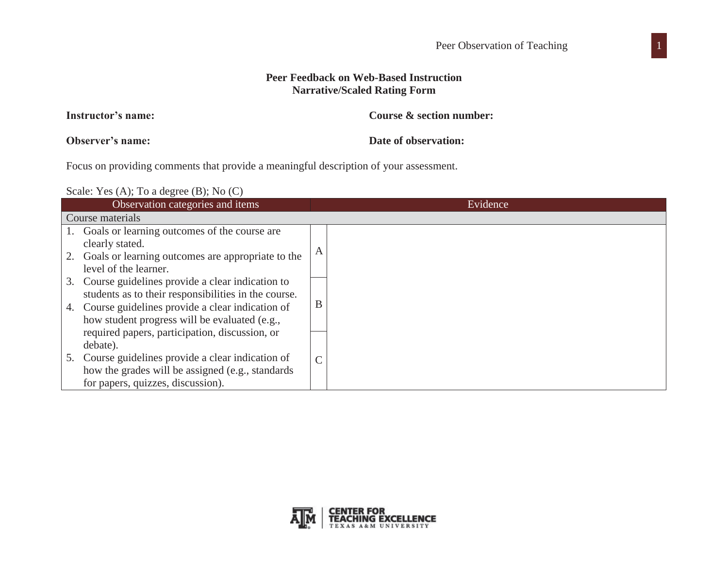## **Peer Feedback on Web-Based Instruction Narrative/Scaled Rating Form**

| Course & section number: |
|--------------------------|
|                          |

**Observer's name:**

**Instructor's name:**

**Date of observation:** 

Focus on providing comments that provide a meaningful description of your assessment.

Scale: Yes (A); To a degree (B); No (C)

|    | Observation categories and items                     |   | Evidence |
|----|------------------------------------------------------|---|----------|
|    | Course materials                                     |   |          |
|    | Goals or learning outcomes of the course are         |   |          |
|    | clearly stated.                                      |   |          |
| 2. | Goals or learning outcomes are appropriate to the    |   |          |
|    | level of the learner.                                |   |          |
| 3. | Course guidelines provide a clear indication to      |   |          |
|    | students as to their responsibilities in the course. |   |          |
| 4. | Course guidelines provide a clear indication of      | B |          |
|    | how student progress will be evaluated (e.g.,        |   |          |
|    | required papers, participation, discussion, or       |   |          |
|    | debate).                                             |   |          |
| 5. | Course guidelines provide a clear indication of      | C |          |
|    | how the grades will be assigned (e.g., standards)    |   |          |
|    | for papers, quizzes, discussion).                    |   |          |